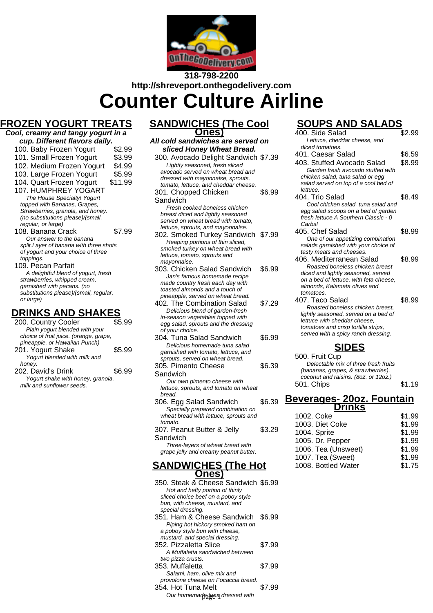

# **318-798-2200 http://shreveport.onthegodelivery.com Counter Culture Airline**

# **FROZEN YOGURT TREATS**

| <u>ELIT I VUUT</u><br>$\blacksquare$    | !!\L\\\ |
|-----------------------------------------|---------|
| Cool, creamy and tangy yogurt in a      |         |
| cup. Different flavors daily.           |         |
| 100. Baby Frozen Yogurt                 | \$2.99  |
| 101. Small Frozen Yogurt                | \$3.99  |
| 102. Medium Frozen Yogurt               | \$4.99  |
| 103. Large Frozen Yogurt                | \$5.99  |
| 104. Quart Frozen Yogurt                | \$11.99 |
| 107. HUMPHREY YOGART                    |         |
| The House Specialty! Yogurt             |         |
| topped with Bananas, Grapes,            |         |
| Strawberries, granola, and honey.       |         |
| (no substitutions please)/(small,       |         |
| regular, or large)                      |         |
| 108. Banana Crack                       | \$7.99  |
| Our answer to the banana                |         |
| split. Layer of banana with three shots |         |
| of yogurt and your choice of three      |         |
| toppings.                               |         |

109. Pecan Parfait A delightful blend of yogurt, fresh strawberries, whipped cream, garnished with pecans. (no substitutions please)/(small, regular, or large)

## **DRINKS AND SHAKES**

| 200. Country Cooler                    | S5 99  |
|----------------------------------------|--------|
| Plain yogurt blended with your         |        |
| choice of fruit juice. (orange, grape, |        |
| pineapple, or Hawaiian Punch)          |        |
| 201. Yogurt Shake                      | \$5.99 |
| Yogurt blended with milk and           |        |
| honey.                                 |        |
| 202. David's Drink                     | \$6.99 |
| Yogurt shake with honey, granola,      |        |
| milk and sunflower seeds.              |        |

### **SANDWICHES (The Cool Ones)**

#### **All cold sandwiches are served on sliced Honey Wheat Bread.** 300. Avocado Delight Sandwich \$7.39 Lightly seasoned, fresh sliced avocado served on wheat bread and dressed with mayonnaise, sprouts, tomato, lettuce, and cheddar cheese.

301. Chopped Chicken **Sandwich** \$6.99 Fresh cooked boneless chicken breast diced and lightly seasoned served on wheat bread with tomato.

- lettuce, sprouts, and mayonnaise. 302. Smoked Turkey Sandwich \$7.99 Heaping portions of thin sliced, smoked turkey on wheat bread with lettuce, tomato, sprouts and mayonnaise.
- 303. Chicken Salad Sandwich \$6.99 Jan's famous homemade recipe made country fresh each day with toasted almonds and a touch of pineapple, served on wheat bread.
- 402. The Combination Salad \$7.29 Delicious blend of garden-fresh in-season vegetables topped with egg salad, sprouts and the dressing of your choice.
- 304. Tuna Salad Sandwich \$6.99 Delicious homemade tuna salad garnished with tomato, lettuce, and sprouts, served on wheat bread.
- 305. Pimento Cheese Sandwich \$6.39 Our own pimento cheese with lettuce, sprouts, and tomato on wheat
- bread. 306. Egg Salad Sandwich \$6.39 Specially prepared combination on wheat bread with lettuce, sprouts and tomato. 307. Peanut Butter & Jelly Sandwich \$3.29 Three-layers of wheat bread with

## grape jelly and creamy peanut butter.

### **SANDWICHES (The Hot Ones)**

350. Steak & Cheese Sandwich \$6.99 Hot and hefty portion of thinly sliced choice beef on a poboy style bun, with cheese, mustard, and special dressing. 351. Ham & Cheese Sandwich \$6.99 Piping hot hickory smoked ham on a poboy style bun with cheese, mustard, and special dressing. 352. Pizzaletta Slice \$7.99 A Muffaletta sandwiched between two pizza crusts. 353. Muffaletta \$7.99 Salami, ham, olive mix and provolone cheese on Focaccia bread. 354. Hot Tuna Melt \$7.99 Our homemadatuna dressed with

# **SOUPS AND SALADS**

| 400. Side Salad                                                             | \$2.99 |  |  |
|-----------------------------------------------------------------------------|--------|--|--|
| Lettuce, cheddar cheese, and                                                |        |  |  |
| diced tomatoes.                                                             |        |  |  |
| 401. Caesar Salad                                                           | \$6.59 |  |  |
| 403. Stuffed Avocado Salad                                                  | \$8.99 |  |  |
| Garden fresh avocado stuffed with                                           |        |  |  |
| chicken salad, tuna salad or egg                                            |        |  |  |
| salad served on top of a cool bed of                                        |        |  |  |
| lettuce.                                                                    |        |  |  |
| 404. Trio Salad                                                             | \$8.49 |  |  |
| Cool chicken salad, tuna salad and                                          |        |  |  |
| egg salad scoops on a bed of garden<br>fresh lettuce.A Southern Classic - 0 |        |  |  |
| Carbs!                                                                      |        |  |  |
| 405. Chef Salad                                                             | \$8.99 |  |  |
| One of our appetizing combination                                           |        |  |  |
| salads garnished with your choice of                                        |        |  |  |
| tasty meats and cheeses.                                                    |        |  |  |
| 406. Mediterranean Salad                                                    | \$8.99 |  |  |
| Roasted boneless chicken breast                                             |        |  |  |
| diced and lightly seasoned, served                                          |        |  |  |
| on a bed of lettuce, with feta cheese,                                      |        |  |  |
| almonds, Kalamata olives and                                                |        |  |  |
| tomatoes.                                                                   |        |  |  |
| 407. Taco Salad                                                             | \$8.99 |  |  |
| Roasted boneless chicken breast,                                            |        |  |  |
| lightly seasoned, served on a bed of<br>lettuce with cheddar cheese.        |        |  |  |
| tomatoes and crisp tortilla strips,                                         |        |  |  |
| served with a spicy ranch dressing.                                         |        |  |  |
|                                                                             |        |  |  |
| <b>SIDES</b>                                                                |        |  |  |
| 500. Fruit Cup                                                              |        |  |  |
| Delectable mix of three fresh fruits                                        |        |  |  |
| (bananas, grapes, & strawberries),                                          |        |  |  |
| coconut and raisins. (8oz. or 12oz.)                                        |        |  |  |
| 501. Chips                                                                  | \$1.19 |  |  |
|                                                                             |        |  |  |
| <u>Beverages- 20oz. Fountain</u>                                            |        |  |  |

| rınks |  |  |
|-------|--|--|
|       |  |  |

| 1002. Coke          | \$1.99 |
|---------------------|--------|
| 1003. Diet Coke     | \$1.99 |
| 1004. Sprite        | \$1.99 |
| 1005. Dr. Pepper    | \$1.99 |
| 1006. Tea (Unsweet) | \$1.99 |
| 1007. Tea (Sweet)   | \$1.99 |
| 1008. Bottled Water | \$1.75 |